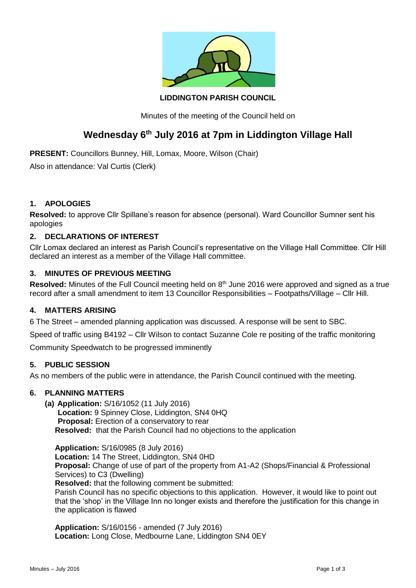

# **LIDDINGTON PARISH COUNCIL**

Minutes of the meeting of the Council held on

# **Wednesday 6th July 2016 at 7pm in Liddington Village Hall**

**PRESENT:** Councillors Bunney, Hill, Lomax, Moore, Wilson (Chair)

Also in attendance: Val Curtis (Clerk)

## **1. APOLOGIES**

**Resolved:** to approve Cllr Spillane's reason for absence (personal). Ward Councillor Sumner sent his apologies

## **2. DECLARATIONS OF INTEREST**

Cllr Lomax declared an interest as Parish Council's representative on the Village Hall Committee. Cllr Hill declared an interest as a member of the Village Hall committee.

#### **3. MINUTES OF PREVIOUS MEETING**

Resolved: Minutes of the Full Council meeting held on 8<sup>th</sup> June 2016 were approved and signed as a true record after a small amendment to item 13 Councillor Responsibilities – Footpaths/Village – Cllr Hill.

## **4. MATTERS ARISING**

6 The Street – amended planning application was discussed. A response will be sent to SBC.

Speed of traffic using B4192 – Cllr Wilson to contact Suzanne Cole re positing of the traffic monitoring

Community Speedwatch to be progressed imminently

#### **5. PUBLIC SESSION**

As no members of the public were in attendance, the Parish Council continued with the meeting.

## **6. PLANNING MATTERS**

**(a) Application:** S/16/1052 (11 July 2016)  **Location:** 9 Spinney Close, Liddington, SN4 0HQ  **Proposal:** Erection of a conservatory to rear **Resolved:** that the Parish Council had no objections to the application

**Application:** S/16/0985 (8 July 2016) **Location:** 14 The Street, Liddington, SN4 0HD **Proposal:** Change of use of part of the property from A1-A2 (Shops/Financial & Professional Services) to C3 (Dwelling) **Resolved:** that the following comment be submitted: Parish Council has no specific objections to this application. However, it would like to point out

that the 'shop' in the Village Inn no longer exists and therefore the justification for this change in the application is flawed

**Application:** S/16/0156 - amended (7 July 2016) **Location:** Long Close, Medbourne Lane, Liddington SN4 0EY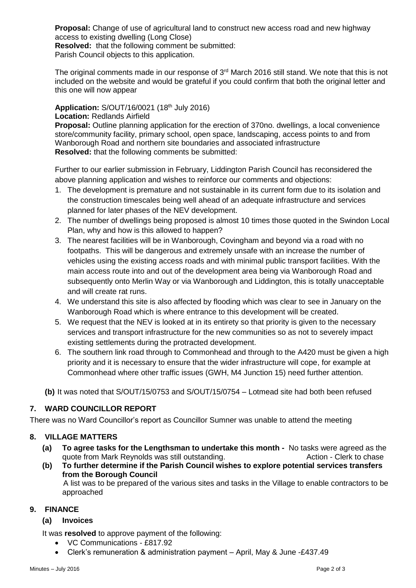**Proposal:** Change of use of agricultural land to construct new access road and new highway access to existing dwelling (Long Close)

**Resolved:** that the following comment be submitted:

Parish Council objects to this application.

The original comments made in our response of  $3<sup>rd</sup>$  March 2016 still stand. We note that this is not included on the website and would be grateful if you could confirm that both the original letter and this one will now appear

**Application:** S/OUT/16/0021 (18th July 2016) **Location:** Redlands Airfield

**Proposal:** Outline planning application for the erection of 370no. dwellings, a local convenience store/community facility, primary school, open space, landscaping, access points to and from Wanborough Road and northern site boundaries and associated infrastructure **Resolved:** that the following comments be submitted:

Further to our earlier submission in February, Liddington Parish Council has reconsidered the above planning application and wishes to reinforce our comments and objections:

- 1. The development is premature and not sustainable in its current form due to its isolation and the construction timescales being well ahead of an adequate infrastructure and services planned for later phases of the NEV development.
- 2. The number of dwellings being proposed is almost 10 times those quoted in the Swindon Local Plan, why and how is this allowed to happen?
- 3. The nearest facilities will be in Wanborough, Covingham and beyond via a road with no footpaths. This will be dangerous and extremely unsafe with an increase the number of vehicles using the existing access roads and with minimal public transport facilities. With the main access route into and out of the development area being via Wanborough Road and subsequently onto Merlin Way or via Wanborough and Liddington, this is totally unacceptable and will create rat runs.
- 4. We understand this site is also affected by flooding which was clear to see in January on the Wanborough Road which is where entrance to this development will be created.
- 5. We request that the NEV is looked at in its entirety so that priority is given to the necessary services and transport infrastructure for the new communities so as not to severely impact existing settlements during the protracted development.
- 6. The southern link road through to Commonhead and through to the A420 must be given a high priority and it is necessary to ensure that the wider infrastructure will cope, for example at Commonhead where other traffic issues (GWH, M4 Junction 15) need further attention.

**(b)** It was noted that S/OUT/15/0753 and S/OUT/15/0754 – Lotmead site had both been refused

# **7. WARD COUNCILLOR REPORT**

There was no Ward Councillor's report as Councillor Sumner was unable to attend the meeting

# **8. VILLAGE MATTERS**

- **(a) To agree tasks for the Lengthsman to undertake this month -** No tasks were agreed as the quote from Mark Reynolds was still outstanding. The Communication - Clerk to chase
- **(b) To further determine if the Parish Council wishes to explore potential services transfers from the Borough Council**

A list was to be prepared of the various sites and tasks in the Village to enable contractors to be approached

#### **9. FINANCE**

#### **(a) Invoices**

It was **resolved** to approve payment of the following:

- VC Communications £817.92
- Clerk's remuneration & administration payment April, May & June -£437.49